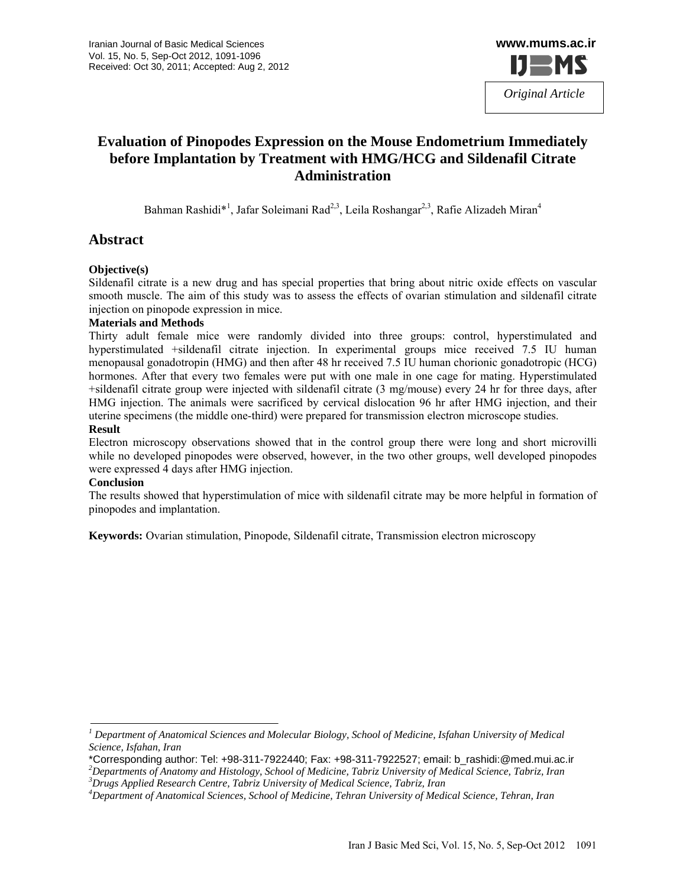

# **Evaluation of Pinopodes Expression on the Mouse Endometrium Immediately before Implantation by Treatment with HMG/HCG and Sildenafil Citrate Administration**

Bahman Rashidi\*<sup>1</sup>, Jafar Soleimani Rad<sup>2,3</sup>, Leila Roshangar<sup>2,3</sup>, Rafie Alizadeh Miran<sup>4</sup>

## **Abstract**

#### **Objective(s)**

Sildenafil citrate is a new drug and has special properties that bring about nitric oxide effects on vascular smooth muscle. The aim of this study was to assess the effects of ovarian stimulation and sildenafil citrate injection on pinopode expression in mice.

#### **Materials and Methods**

Thirty adult female mice were randomly divided into three groups: control, hyperstimulated and hyperstimulated +sildenafil citrate injection. In experimental groups mice received 7.5 IU human menopausal gonadotropin (HMG) and then after 48 hr received 7.5 IU human chorionic gonadotropic (HCG) hormones. After that every two females were put with one male in one cage for mating. Hyperstimulated +sildenafil citrate group were injected with sildenafil citrate (3 mg/mouse) every 24 hr for three days, after HMG injection. The animals were sacrificed by cervical dislocation 96 hr after HMG injection, and their uterine specimens (the middle one-third) were prepared for transmission electron microscope studies.

#### **Result**

Electron microscopy observations showed that in the control group there were long and short microvilli while no developed pinopodes were observed, however, in the two other groups, well developed pinopodes were expressed 4 days after HMG injection.

#### **Conclusion**

The results showed that hyperstimulation of mice with sildenafil citrate may be more helpful in formation of pinopodes and implantation.

**Keywords:** Ovarian stimulation, Pinopode, Sildenafil citrate, Transmission electron microscopy

*Departments of Anatomy and Histology, School of Medicine, Tabriz University of Medical Science, Tabriz, Iran 3 Drugs Applied Research Centre, Tabriz University of Medical Science, Tabriz, Iran* 

*<sup>1</sup> Department of Anatomical Sciences and Molecular Biology, School of Medicine, Isfahan University of Medical Science, Isfahan, Iran* 

<sup>\*</sup>Corresponding author: Tel: +98-311-7922440; Fax: +98-311-7922527; email: b\_rashidi:@med.mui.ac.ir *<sup>2</sup>*

*<sup>4</sup> Department of Anatomical Sciences, School of Medicine, Tehran University of Medical Science, Tehran, Iran*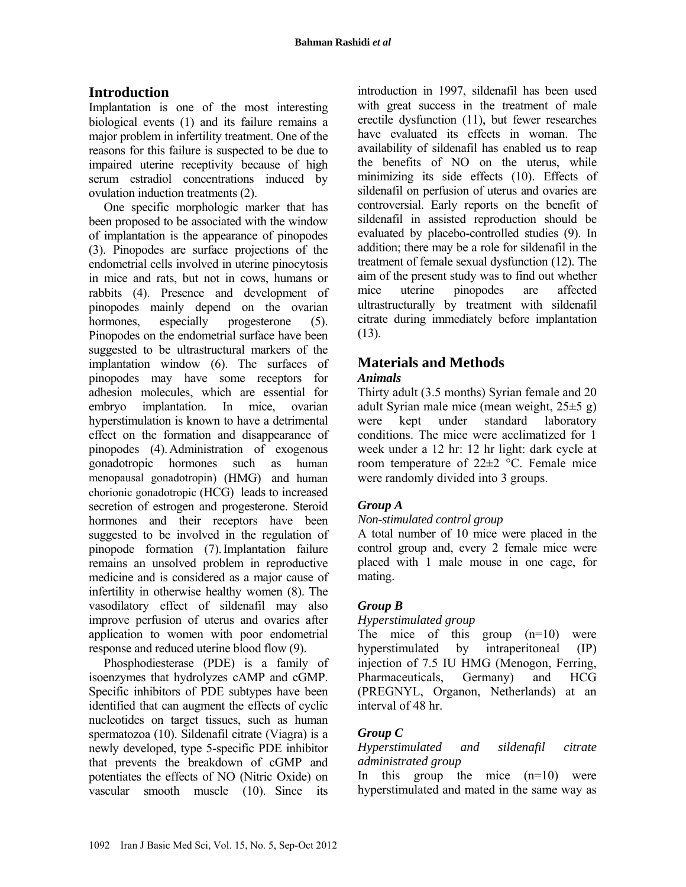## **Introduction**

Implantation is one of the most interesting biological events (1) and its failure remains a major problem in infertility treatment. One of the reasons for this failure is suspected to be due to impaired uterine receptivity because of high serum estradiol concentrations induced by ovulation induction treatments (2).

One specific morphologic marker that has been proposed to be associated with the window of implantation is the appearance of pinopodes (3). Pinopodes are surface projections of the endometrial cells involved in uterine pinocytosis in mice and rats, but not in cows, humans or rabbits (4). Presence and development of pinopodes mainly depend on the ovarian hormones, especially progesterone (5). Pinopodes on the endometrial surface have been suggested to be ultrastructural markers of the implantation window (6). The surfaces of pinopodes may have some receptors for adhesion molecules, which are essential for embryo implantation. In mice, ovarian hyperstimulation is known to have a detrimental effect on the formation and disappearance of pinopodes (4).Administration of exogenous gonadotropic hormones such as human menopausal gonadotropin) (HMG) and human chorionic gonadotropic (HCG) leads to increased secretion of estrogen and progesterone. Steroid hormones and their receptors have been suggested to be involved in the regulation of pinopode formation (7).Implantation failure remains an unsolved problem in reproductive medicine and is considered as a major cause of infertility in otherwise healthy women (8). The vasodilatory effect of sildenafil may also improve perfusion of uterus and ovaries after application to women with poor endometrial response and reduced uterine blood flow (9).

Phosphodiesterase (PDE) is a family of isoenzymes that hydrolyzes cAMP and cGMP. Specific inhibitors of PDE subtypes have been identified that can augment the effects of cyclic nucleotides on target tissues, such as human spermatozoa (10). Sildenafil citrate (Viagra) is a newly developed, type 5-specific PDE inhibitor that prevents the breakdown of cGMP and potentiates the effects of NO (Nitric Oxide) on vascular smooth muscle (10). Since its

introduction in 1997, sildenafil has been used with great success in the treatment of male erectile dysfunction (11), but fewer researches have evaluated its effects in woman. The availability of sildenafil has enabled us to reap the benefits of NO on the uterus, while minimizing its side effects (10). Effects of sildenafil on perfusion of uterus and ovaries are controversial. Early reports on the benefit of sildenafil in assisted reproduction should be evaluated by placebo-controlled studies (9). In addition; there may be a role for sildenafil in the treatment of female sexual dysfunction (12). The aim of the present study was to find out whether mice uterine pinopodes are affected ultrastructurally by treatment with sildenafil citrate during immediately before implantation  $(13)$ .

# **Materials and Methods**

## *Animals*

Thirty adult (3.5 months) Syrian female and 20 adult Syrian male mice (mean weight, 25±5 g) were kept under standard laboratory conditions. The mice were acclimatized for 1 week under a 12 hr: 12 hr light: dark cycle at room temperature of 22±2 °C. Female mice were randomly divided into 3 groups.

## *Group A*

## *Non-stimulated control group*

A total number of 10 mice were placed in the control group and, every 2 female mice were placed with 1 male mouse in one cage, for mating.

## *Group B*

## *Hyperstimulated group*

The mice of this group  $(n=10)$  were hyperstimulated by intraperitoneal (IP) injection of 7.5 IU HMG (Menogon, Ferring, Pharmaceuticals, Germany) and HCG (PREGNYL, Organon, Netherlands) at an interval of 48 hr.

## *Group C*

### *Hyperstimulated and sildenafil citrate administrated group*

In this group the mice  $(n=10)$  were hyperstimulated and mated in the same way as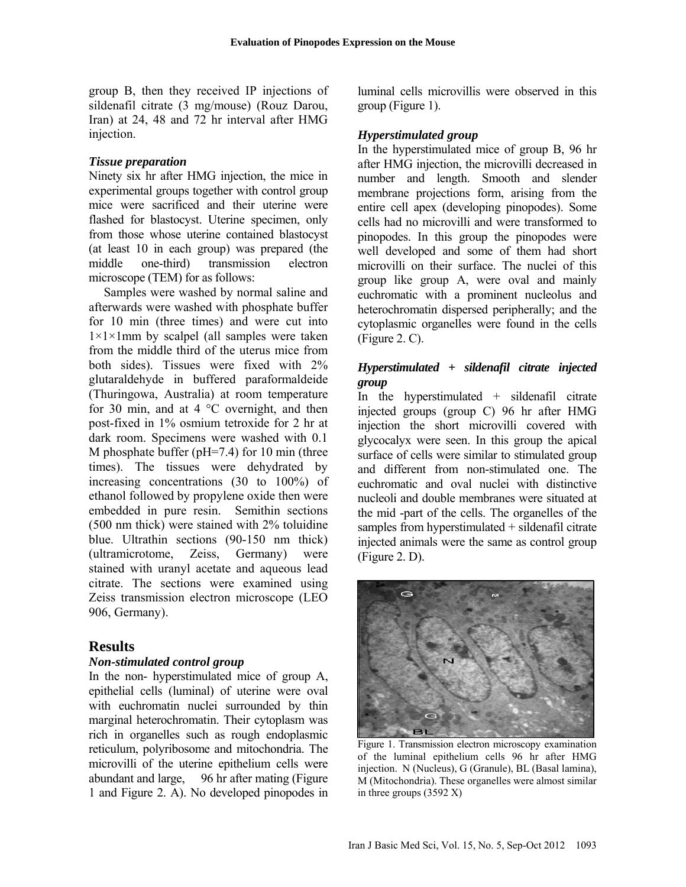group B, then they received IP injections of sildenafil citrate (3 mg/mouse) (Rouz Darou, Iran) at 24, 48 and 72 hr interval after HMG injection.

#### *Tissue preparation*

Ninety six hr after HMG injection, the mice in experimental groups together with control group mice were sacrificed and their uterine were flashed for blastocyst. Uterine specimen, only from those whose uterine contained blastocyst (at least 10 in each group) was prepared (the middle one-third) transmission electron microscope (TEM) for as follows:

Samples were washed by normal saline and afterwards were washed with phosphate buffer for 10 min (three times) and were cut into  $1\times1\times1$ mm by scalpel (all samples were taken from the middle third of the uterus mice from both sides). Tissues were fixed with 2% glutaraldehyde in buffered paraformaldeide (Thuringowa, Australia) at room temperature for 30 min, and at  $4^{\circ}$ C overnight, and then post-fixed in 1% osmium tetroxide for 2 hr at dark room. Specimens were washed with 0.1 M phosphate buffer (pH=7.4) for 10 min (three times). The tissues were dehydrated by increasing concentrations (30 to 100%) of ethanol followed by propylene oxide then were embedded in pure resin. Semithin sections (500 nm thick) were stained with 2% toluidine blue. Ultrathin sections (90-150 nm thick) (ultramicrotome, Zeiss, Germany) were stained with uranyl acetate and aqueous lead citrate. The sections were examined using Zeiss transmission electron microscope (LEO 906, Germany).

## **Results**

#### *Non-stimulated control group*

In the non- hyperstimulated mice of group A, epithelial cells (luminal) of uterine were oval with euchromatin nuclei surrounded by thin marginal heterochromatin. Their cytoplasm was rich in organelles such as rough endoplasmic reticulum, polyribosome and mitochondria. The microvilli of the uterine epithelium cells were abundant and large, 96 hr after mating (Figure 1 and Figure 2. A). No developed pinopodes in

luminal cells microvillis were observed in this group (Figure 1).

### *Hyperstimulated group*

In the hyperstimulated mice of group B, 96 hr after HMG injection, the microvilli decreased in number and length. Smooth and slender membrane projections form, arising from the entire cell apex (developing pinopodes). Some cells had no microvilli and were transformed to pinopodes. In this group the pinopodes were well developed and some of them had short microvilli on their surface. The nuclei of this group like group A, were oval and mainly euchromatic with a prominent nucleolus and heterochromatin dispersed peripherally; and the cytoplasmic organelles were found in the cells (Figure 2. C).

## *Hyperstimulated + sildenafil citrate injected group*

In the hyperstimulated  $+$  sildenafil citrate injected groups (group C) 96 hr after HMG injection the short microvilli covered with glycocalyx were seen. In this group the apical surface of cells were similar to stimulated group and different from non-stimulated one. The euchromatic and oval nuclei with distinctive nucleoli and double membranes were situated at the mid -part of the cells. The organelles of the samples from hyperstimulated + sildenafil citrate injected animals were the same as control group (Figure 2. D).



Figure 1. Transmission electron microscopy examination of the luminal epithelium cells 96 hr after HMG injection. N (Nucleus), G (Granule), BL (Basal lamina), M (Mitochondria). These organelles were almost similar in three groups (3592 X)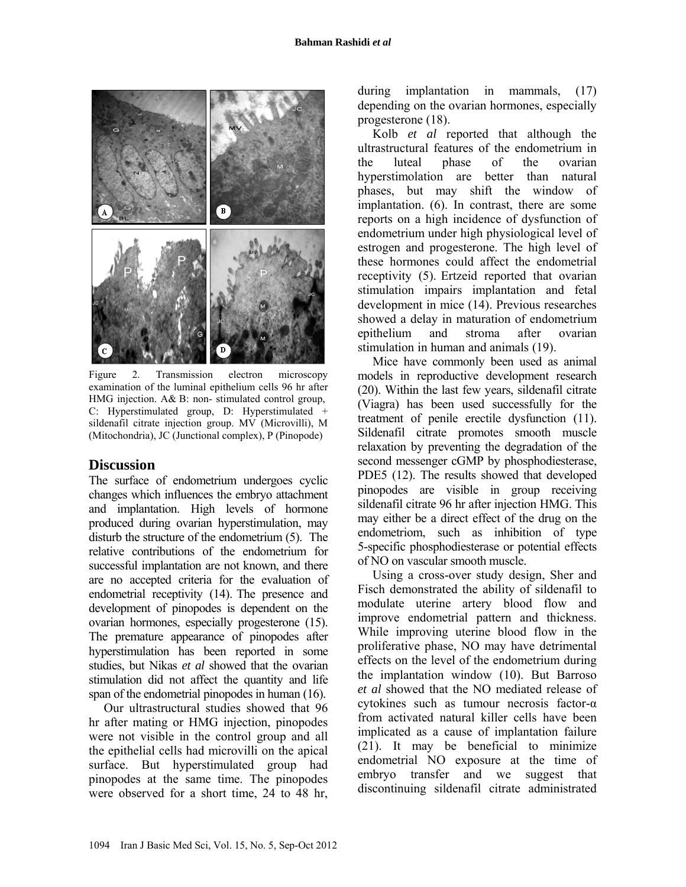

Figure 2. Transmission electron microscopy examination of the luminal epithelium cells 96 hr after HMG injection. A& B: non- stimulated control group, C: Hyperstimulated group, D: Hyperstimulated + sildenafil citrate injection group. MV (Microvilli), M (Mitochondria), JC (Junctional complex), P (Pinopode)

**Discussion**<br>The surface of endometrium undergoes cyclic changes which influences the embryo attachment and implantation. High levels of hormone produced during ovarian hyperstimulation, may disturb the structure of the endometrium (5). The relative contributions of the endometrium for successful implantation are not known, and there are no accepted criteria for the evaluation of endometrial receptivity (14). The presence and development of pinopodes is dependent on the ovarian hormones, especially progesterone (15). The premature appearance of pinopodes after hyperstimulation has been reported in some studies, but Nikas *et al* showed that the ovarian stimulation did not affect the quantity and life span of the endometrial pinopodes in human (16).

Our ultrastructural studies showed that 96 hr after mating or HMG injection, pinopodes were not visible in the control group and all the epithelial cells had microvilli on the apical surface. But hyperstimulated group had pinopodes at the same time. The pinopodes were observed for a short time, 24 to 48 hr, during implantation in mammals,  $(17)$ depending on the ovarian hormones, especially progesterone (18).

Kolb *et al* reported that although the ultrastructural features of the endometrium in the luteal phase of the ovarian hyperstimolation are better than natural phases, but may shift the window of implantation. (6). In contrast, there are some reports on a high incidence of dysfunction of endometrium under high physiological level of estrogen and progesterone. The high level of these hormones could affect the endometrial receptivity (5). Ertzeid reported that ovarian stimulation impairs implantation and fetal development in mice (14). Previous researches showed a delay in maturation of endometrium epithelium and stroma after ovarian stimulation in human and animals (19).

Mice have commonly been used as animal models in reproductive development research (20). Within the last few years, sildenafil citrate (Viagra) has been used successfully for the treatment of penile erectile dysfunction (11). Sildenafil citrate promotes smooth muscle relaxation by preventing the degradation of the second messenger cGMP by phosphodiesterase, PDE5 (12). The results showed that developed pinopodes are visible in group receiving sildenafil citrate 96 hr after injection HMG. This may either be a direct effect of the drug on the endometriom, such as inhibition of type 5-specific phosphodiesterase or potential effects of NO on vascular smooth muscle.

Using a cross-over study design, Sher and Fisch demonstrated the ability of sildenafil to modulate uterine artery blood flow and improve endometrial pattern and thickness. While improving uterine blood flow in the proliferative phase, NO may have detrimental effects on the level of the endometrium during the implantation window (10). But Barroso *et al* showed that the NO mediated release of cytokines such as tumour necrosis factor-α from activated natural killer cells have been implicated as a cause of implantation failure (21). It may be beneficial to minimize endometrial NO exposure at the time of embryo transfer and we suggest that discontinuing sildenafil citrate administrated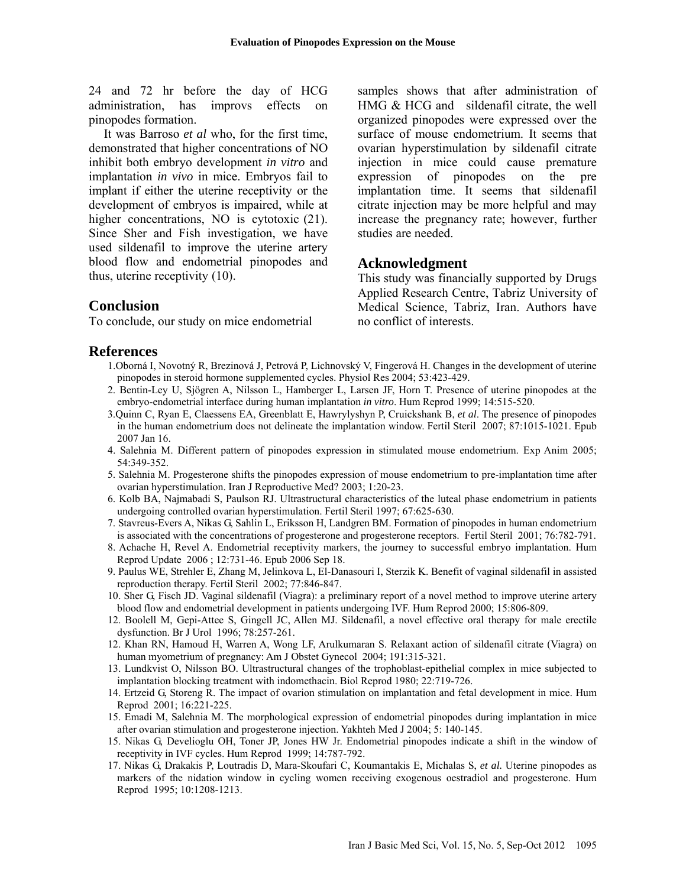24 and 72 hr before the day of HCG administration, has improvs effects on pinopodes formation.

It was Barroso *et al* who, for the first time, demonstrated that higher concentrations of NO inhibit both embryo development *in vitro* and implantation *in vivo* in mice. Embryos fail to implant if either the uterine receptivity or the development of embryos is impaired, while at higher concentrations, NO is cytotoxic  $(21)$ . Since Sher and Fish investigation, we have used sildenafil to improve the uterine artery blood flow and endometrial pinopodes and thus, uterine receptivity (10).

samples shows that after administration of HMG & HCG and sildenafil citrate, the well organized pinopodes were expressed over the surface of mouse endometrium. It seems that ovarian hyperstimulation by sildenafil citrate injection in mice could cause premature expression of pinopodes on the pre implantation time. It seems that sildenafil citrate injection may be more helpful and may increase the pregnancy rate; however, further studies are needed.

#### **Acknowledgment**

This study was financially supported by Drugs Applied Research Centre, Tabriz University of Medical Science, Tabriz, Iran. Authors have no conflict of interests.

**Conclusion**<br>To conclude, our study on mice endometrial

#### **References**

- 1.Oborná I, Novotný R, Brezinová J, Petrová P, Lichnovský V, Fingerová H. Changes in the development of uterine pinopodes in steroid hormone supplemented cycles. Physiol Res 2004; 53:423-429.
- 2. Bentin-Ley U, Sjögren A, Nilsson L, Hamberger L, Larsen JF, Horn T. Presence of uterine pinopodes at the embryo-endometrial interface during human implantation *in vitro*. Hum Reprod 1999; 14:515-520.
- 3.Quinn C, Ryan E, Claessens EA, Greenblatt E, Hawrylyshyn P, Cruickshank B, *et al*. The presence of pinopodes in the human endometrium does not delineate the implantation window. Fertil Steril 2007; 87:1015-1021. Epub 2007 Jan 16.
- 4. Salehnia M. Different pattern of pinopodes expression in stimulated mouse endometrium. Exp Anim 2005; 54:349-352.
- 5. Salehnia M. Progesterone shifts the pinopodes expression of mouse endometrium to pre-implantation time after ovarian hyperstimulation. Iran J Reproductive Med? 2003; 1:20-23.
- 6. Kolb BA, Najmabadi S, Paulson RJ. Ultrastructural characteristics of the luteal phase endometrium in patients undergoing controlled ovarian hyperstimulation. Fertil Steril 1997; 67:625-630.
- 7. Stavreus-Evers A, Nikas G, Sahlin L, Eriksson H, Landgren BM. Formation of pinopodes in human endometrium is associated with the concentrations of progesterone and progesterone receptors. Fertil Steril 2001; 76:782-791.
- 8. Achache H, Revel A. Endometrial receptivity markers, the journey to successful embryo implantation. Hum Reprod Update 2006 ; 12:731-46. Epub 2006 Sep 18.
- 9. Paulus WE, Strehler E, Zhang M, Jelinkova L, El-Danasouri I, Sterzik K. Benefit of vaginal sildenafil in assisted reproduction therapy. Fertil Steril 2002; 77:846-847.
- 10. Sher G, Fisch JD. Vaginal sildenafil (Viagra): a preliminary report of a novel method to improve uterine artery blood flow and endometrial development in patients undergoing IVF. Hum Reprod 2000; 15:806-809.
- 12. Boolell M, Gepi-Attee S, Gingell JC, Allen MJ. Sildenafil, a novel effective oral therapy for male erectile dysfunction. Br J Urol 1996; 78:257-261.
- 12. Khan RN, Hamoud H, Warren A, Wong LF, Arulkumaran S. Relaxant action of sildenafil citrate (Viagra) on human myometrium of pregnancy: Am J Obstet Gynecol 2004; 191:315-321.
- 13. Lundkvist O, Nilsson BO. Ultrastructural changes of the trophoblast-epithelial complex in mice subjected to implantation blocking treatment with indomethacin. Biol Reprod 1980; 22:719-726.
- 14. Ertzeid G, Storeng R. The impact of ovarion stimulation on implantation and fetal development in mice. Hum Reprod 2001; 16:221-225.
- 15. Emadi M, Salehnia M. The morphological expression of endometrial pinopodes during implantation in mice after ovarian stimulation and progesterone injection. Yakhteh Med J 2004; 5: 140-145.
- 15. Nikas G, Develioglu OH, Toner JP, Jones HW Jr. Endometrial pinopodes indicate a shift in the window of receptivity in IVF cycles. Hum Reprod 1999; 14:787-792.
- 17. Nikas G, Drakakis P, Loutradis D, Mara-Skoufari C, Koumantakis E, Michalas S, *et al.* Uterine pinopodes as markers of the nidation window in cycling women receiving exogenous oestradiol and progesterone. Hum Reprod 1995; 10:1208-1213.